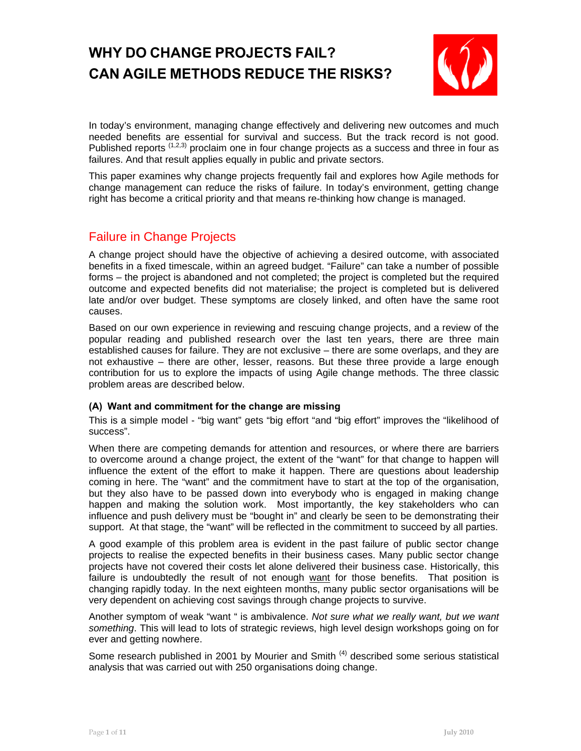# **WHY DO CHANGE PROJECTS FAIL? CAN AGILE METHODS REDUCE THE RISKS?**



In today's environment, managing change effectively and delivering new outcomes and much needed benefits are essential for survival and success. But the track record is not good. Published reports <sup>(1,2,3)</sup> proclaim one in four change projects as a success and three in four as failures. And that result applies equally in public and private sectors.

This paper examines why change projects frequently fail and explores how Agile methods for change management can reduce the risks of failure. In today's environment, getting change right has become a critical priority and that means re-thinking how change is managed.

# Failure in Change Projects

A change project should have the objective of achieving a desired outcome, with associated benefits in a fixed timescale, within an agreed budget. "Failure" can take a number of possible forms – the project is abandoned and not completed; the project is completed but the required outcome and expected benefits did not materialise; the project is completed but is delivered late and/or over budget. These symptoms are closely linked, and often have the same root causes.

Based on our own experience in reviewing and rescuing change projects, and a review of the popular reading and published research over the last ten years, there are three main established causes for failure. They are not exclusive – there are some overlaps, and they are not exhaustive – there are other, lesser, reasons. But these three provide a large enough contribution for us to explore the impacts of using Agile change methods. The three classic problem areas are described below.

#### **(A) Want and commitment for the change are missing**

This is a simple model - "big want" gets "big effort "and "big effort" improves the "likelihood of success".

When there are competing demands for attention and resources, or where there are barriers to overcome around a change project, the extent of the "want" for that change to happen will influence the extent of the effort to make it happen. There are questions about leadership coming in here. The "want" and the commitment have to start at the top of the organisation, but they also have to be passed down into everybody who is engaged in making change happen and making the solution work. Most importantly, the key stakeholders who can influence and push delivery must be "bought in" and clearly be seen to be demonstrating their support. At that stage, the "want" will be reflected in the commitment to succeed by all parties.

A good example of this problem area is evident in the past failure of public sector change projects to realise the expected benefits in their business cases. Many public sector change projects have not covered their costs let alone delivered their business case. Historically, this failure is undoubtedly the result of not enough want for those benefits. That position is changing rapidly today. In the next eighteen months, many public sector organisations will be very dependent on achieving cost savings through change projects to survive.

Another symptom of weak "want " is ambivalence. *Not sure what we really want, but we want something*. This will lead to lots of strategic reviews, high level design workshops going on for ever and getting nowhere.

Some research published in 2001 by Mourier and Smith  $^{(4)}$  described some serious statistical analysis that was carried out with 250 organisations doing change.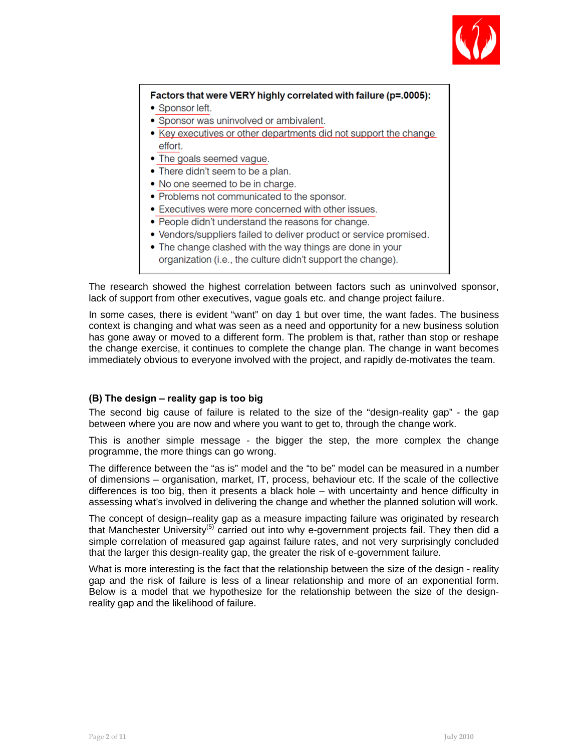

# Factors that were VERY highly correlated with failure (p=.0005):

- Sponsor left.
- Sponsor was uninvolved or ambivalent.
- Key executives or other departments did not support the change effort.
- The goals seemed vague.
- There didn't seem to be a plan.
- No one seemed to be in charge.
- Problems not communicated to the sponsor.
- Executives were more concerned with other issues.
- People didn't understand the reasons for change.
- Vendors/suppliers failed to deliver product or service promised.
- The change clashed with the way things are done in your organization (i.e., the culture didn't support the change).

The research showed the highest correlation between factors such as uninvolved sponsor, lack of support from other executives, vague goals etc. and change project failure.

In some cases, there is evident "want" on day 1 but over time, the want fades. The business context is changing and what was seen as a need and opportunity for a new business solution has gone away or moved to a different form. The problem is that, rather than stop or reshape the change exercise, it continues to complete the change plan. The change in want becomes immediately obvious to everyone involved with the project, and rapidly de-motivates the team.

#### **(B) The design – reality gap is too big**

The second big cause of failure is related to the size of the "design-reality gap" - the gap between where you are now and where you want to get to, through the change work.

This is another simple message - the bigger the step, the more complex the change programme, the more things can go wrong.

The difference between the "as is" model and the "to be" model can be measured in a number of dimensions – organisation, market, IT, process, behaviour etc. If the scale of the collective differences is too big, then it presents a black hole – with uncertainty and hence difficulty in assessing what's involved in delivering the change and whether the planned solution will work.

The concept of design–reality gap as a measure impacting failure was originated by research that Manchester University<sup>(5)</sup> carried out into why e-government projects fail. They then did a simple correlation of measured gap against failure rates, and not very surprisingly concluded that the larger this design-reality gap, the greater the risk of e-government failure.

What is more interesting is the fact that the relationship between the size of the design - reality gap and the risk of failure is less of a linear relationship and more of an exponential form. Below is a model that we hypothesize for the relationship between the size of the designreality gap and the likelihood of failure.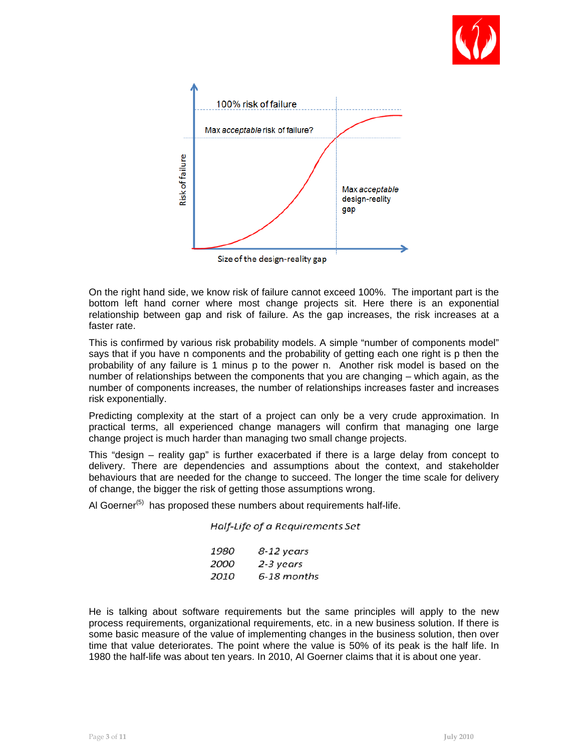



Size of the design-reality gap

On the right hand side, we know risk of failure cannot exceed 100%. The important part is the bottom left hand corner where most change projects sit. Here there is an exponential relationship between gap and risk of failure. As the gap increases, the risk increases at a faster rate.

This is confirmed by various risk probability models. A simple "number of components model" says that if you have n components and the probability of getting each one right is p then the probability of any failure is 1 minus p to the power n. Another risk model is based on the number of relationships between the components that you are changing – which again, as the number of components increases, the number of relationships increases faster and increases risk exponentially.

Predicting complexity at the start of a project can only be a very crude approximation. In practical terms, all experienced change managers will confirm that managing one large change project is much harder than managing two small change projects.

This "design – reality gap" is further exacerbated if there is a large delay from concept to delivery. There are dependencies and assumptions about the context, and stakeholder behaviours that are needed for the change to succeed. The longer the time scale for delivery of change, the bigger the risk of getting those assumptions wrong.

Al Goerner<sup> $(5)$ </sup> has proposed these numbers about requirements half-life.

Half-Life of a Requirements Set

| <i>1980</i> | 8-12 years  |  |
|-------------|-------------|--|
| <i>2000</i> | 2-3 years   |  |
| <i>2010</i> | 6-18 months |  |

He is talking about software requirements but the same principles will apply to the new process requirements, organizational requirements, etc. in a new business solution. If there is some basic measure of the value of implementing changes in the business solution, then over time that value deteriorates. The point where the value is 50% of its peak is the half life. In 1980 the half-life was about ten years. In 2010, Al Goerner claims that it is about one year.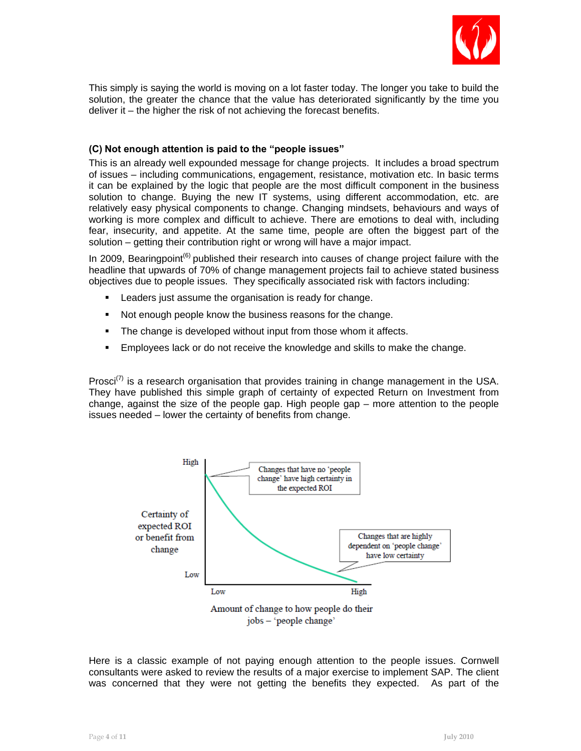

This simply is saying the world is moving on a lot faster today. The longer you take to build the solution, the greater the chance that the value has deteriorated significantly by the time you deliver it – the higher the risk of not achieving the forecast benefits.

#### **(C) Not enough attention is paid to the "people issues"**

This is an already well expounded message for change projects. It includes a broad spectrum of issues – including communications, engagement, resistance, motivation etc. In basic terms it can be explained by the logic that people are the most difficult component in the business solution to change. Buying the new IT systems, using different accommodation, etc. are relatively easy physical components to change. Changing mindsets, behaviours and ways of working is more complex and difficult to achieve. There are emotions to deal with, including fear, insecurity, and appetite. At the same time, people are often the biggest part of the solution – getting their contribution right or wrong will have a major impact.

In 2009, Bearingpoint<sup>(6)</sup> published their research into causes of change project failure with the headline that upwards of 70% of change management projects fail to achieve stated business objectives due to people issues. They specifically associated risk with factors including:

- Leaders just assume the organisation is ready for change.
- Not enough people know the business reasons for the change.
- **The change is developed without input from those whom it affects.**
- Employees lack or do not receive the knowledge and skills to make the change.

Prosci<sup>(7)</sup> is a research organisation that provides training in change management in the USA. They have published this simple graph of certainty of expected Return on Investment from change, against the size of the people gap. High people gap – more attention to the people issues needed – lower the certainty of benefits from change.



jobs - 'people change'

Here is a classic example of not paying enough attention to the people issues. Cornwell consultants were asked to review the results of a major exercise to implement SAP. The client was concerned that they were not getting the benefits they expected. As part of the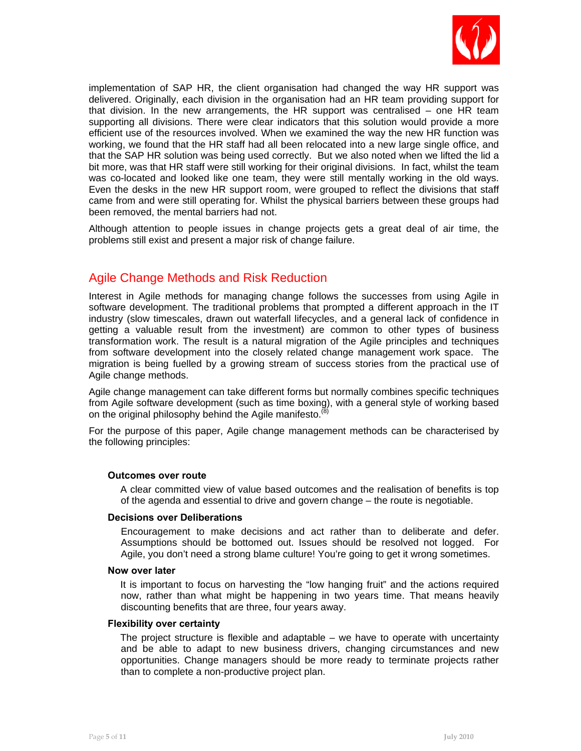

implementation of SAP HR, the client organisation had changed the way HR support was delivered. Originally, each division in the organisation had an HR team providing support for that division. In the new arrangements, the HR support was centralised – one HR team supporting all divisions. There were clear indicators that this solution would provide a more efficient use of the resources involved. When we examined the way the new HR function was working, we found that the HR staff had all been relocated into a new large single office, and that the SAP HR solution was being used correctly. But we also noted when we lifted the lid a bit more, was that HR staff were still working for their original divisions. In fact, whilst the team was co-located and looked like one team, they were still mentally working in the old ways. Even the desks in the new HR support room, were grouped to reflect the divisions that staff came from and were still operating for. Whilst the physical barriers between these groups had been removed, the mental barriers had not.

Although attention to people issues in change projects gets a great deal of air time, the problems still exist and present a major risk of change failure.

# Agile Change Methods and Risk Reduction

Interest in Agile methods for managing change follows the successes from using Agile in software development. The traditional problems that prompted a different approach in the IT industry (slow timescales, drawn out waterfall lifecycles, and a general lack of confidence in getting a valuable result from the investment) are common to other types of business transformation work. The result is a natural migration of the Agile principles and techniques from software development into the closely related change management work space. The migration is being fuelled by a growing stream of success stories from the practical use of Agile change methods.

Agile change management can take different forms but normally combines specific techniques from Agile software development (such as time boxing), with a general style of working based on the original philosophy behind the Agile manifesto.<sup>(8)</sup>

For the purpose of this paper, Agile change management methods can be characterised by the following principles:

#### **Outcomes over route**

A clear committed view of value based outcomes and the realisation of benefits is top of the agenda and essential to drive and govern change – the route is negotiable.

#### **Decisions over Deliberations**

Encouragement to make decisions and act rather than to deliberate and defer. Assumptions should be bottomed out. Issues should be resolved not logged. For Agile, you don't need a strong blame culture! You're going to get it wrong sometimes.

#### **Now over later**

It is important to focus on harvesting the "low hanging fruit" and the actions required now, rather than what might be happening in two years time. That means heavily discounting benefits that are three, four years away.

#### **Flexibility over certainty**

The project structure is flexible and adaptable – we have to operate with uncertainty and be able to adapt to new business drivers, changing circumstances and new opportunities. Change managers should be more ready to terminate projects rather than to complete a non-productive project plan.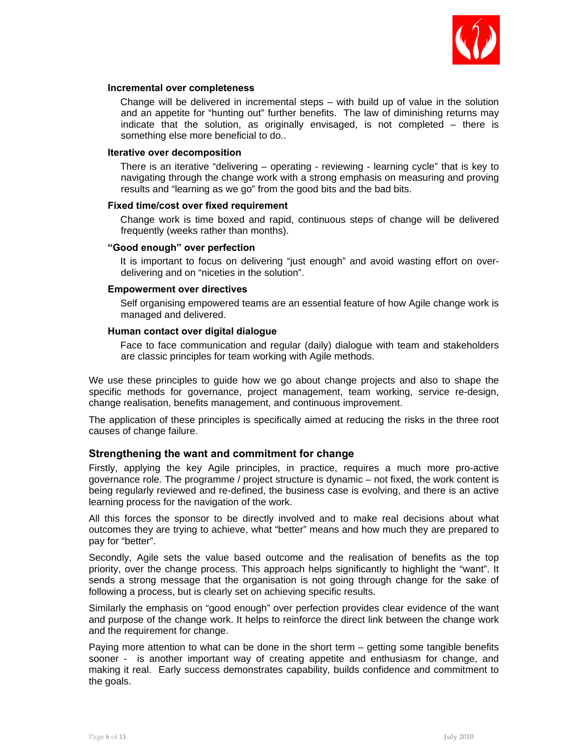

#### **Incremental over completeness**

Change will be delivered in incremental steps – with build up of value in the solution and an appetite for "hunting out" further benefits. The law of diminishing returns may indicate that the solution, as originally envisaged, is not completed – there is something else more beneficial to do..

#### **Iterative over decomposition**

There is an iterative "delivering – operating - reviewing - learning cycle" that is key to navigating through the change work with a strong emphasis on measuring and proving results and "learning as we go" from the good bits and the bad bits.

#### **Fixed time/cost over fixed requirement**

Change work is time boxed and rapid, continuous steps of change will be delivered frequently (weeks rather than months).

#### **"Good enough" over perfection**

It is important to focus on delivering "just enough" and avoid wasting effort on overdelivering and on "niceties in the solution".

#### **Empowerment over directives**

Self organising empowered teams are an essential feature of how Agile change work is managed and delivered.

#### **Human contact over digital dialogue**

Face to face communication and regular (daily) dialogue with team and stakeholders are classic principles for team working with Agile methods.

We use these principles to guide how we go about change projects and also to shape the specific methods for governance, project management, team working, service re-design, change realisation, benefits management, and continuous improvement.

The application of these principles is specifically aimed at reducing the risks in the three root causes of change failure.

#### **Strengthening the want and commitment for change**

Firstly, applying the key Agile principles, in practice, requires a much more pro-active governance role. The programme / project structure is dynamic – not fixed, the work content is being regularly reviewed and re-defined, the business case is evolving, and there is an active learning process for the navigation of the work.

All this forces the sponsor to be directly involved and to make real decisions about what outcomes they are trying to achieve, what "better" means and how much they are prepared to pay for "better".

Secondly, Agile sets the value based outcome and the realisation of benefits as the top priority, over the change process. This approach helps significantly to highlight the "want". It sends a strong message that the organisation is not going through change for the sake of following a process, but is clearly set on achieving specific results.

Similarly the emphasis on "good enough" over perfection provides clear evidence of the want and purpose of the change work. It helps to reinforce the direct link between the change work and the requirement for change.

Paying more attention to what can be done in the short term – getting some tangible benefits sooner - is another important way of creating appetite and enthusiasm for change, and making it real. Early success demonstrates capability, builds confidence and commitment to the goals.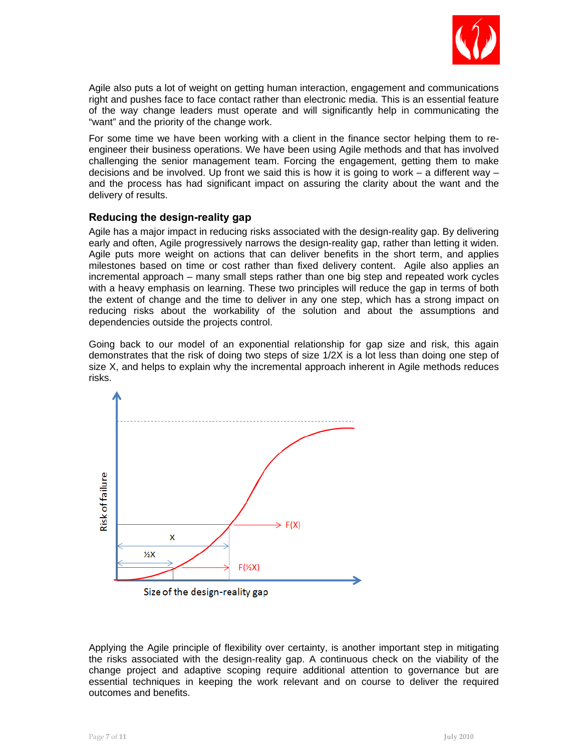

Agile also puts a lot of weight on getting human interaction, engagement and communications right and pushes face to face contact rather than electronic media. This is an essential feature of the way change leaders must operate and will significantly help in communicating the "want" and the priority of the change work.

For some time we have been working with a client in the finance sector helping them to reengineer their business operations. We have been using Agile methods and that has involved challenging the senior management team. Forcing the engagement, getting them to make decisions and be involved. Up front we said this is how it is going to work  $-$  a different way  $$ and the process has had significant impact on assuring the clarity about the want and the delivery of results.

#### **Reducing the design-reality gap**

Agile has a major impact in reducing risks associated with the design-reality gap. By delivering early and often, Agile progressively narrows the design-reality gap, rather than letting it widen. Agile puts more weight on actions that can deliver benefits in the short term, and applies milestones based on time or cost rather than fixed delivery content. Agile also applies an incremental approach – many small steps rather than one big step and repeated work cycles with a heavy emphasis on learning. These two principles will reduce the gap in terms of both the extent of change and the time to deliver in any one step, which has a strong impact on reducing risks about the workability of the solution and about the assumptions and dependencies outside the projects control.

Going back to our model of an exponential relationship for gap size and risk, this again demonstrates that the risk of doing two steps of size 1/2X is a lot less than doing one step of size X, and helps to explain why the incremental approach inherent in Agile methods reduces risks.



Applying the Agile principle of flexibility over certainty, is another important step in mitigating the risks associated with the design-reality gap. A continuous check on the viability of the change project and adaptive scoping require additional attention to governance but are essential techniques in keeping the work relevant and on course to deliver the required outcomes and benefits.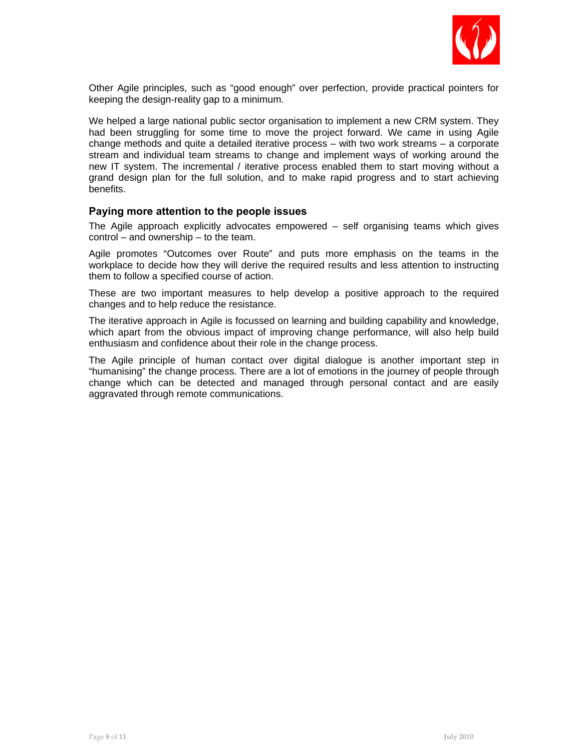

Other Agile principles, such as "good enough" over perfection, provide practical pointers for keeping the design-reality gap to a minimum.

We helped a large national public sector organisation to implement a new CRM system. They had been struggling for some time to move the project forward. We came in using Agile change methods and quite a detailed iterative process – with two work streams – a corporate stream and individual team streams to change and implement ways of working around the new IT system. The incremental / iterative process enabled them to start moving without a grand design plan for the full solution, and to make rapid progress and to start achieving benefits.

#### **Paying more attention to the people issues**

The Agile approach explicitly advocates empowered – self organising teams which gives control – and ownership – to the team.

Agile promotes "Outcomes over Route" and puts more emphasis on the teams in the workplace to decide how they will derive the required results and less attention to instructing them to follow a specified course of action.

These are two important measures to help develop a positive approach to the required changes and to help reduce the resistance.

The iterative approach in Agile is focussed on learning and building capability and knowledge, which apart from the obvious impact of improving change performance, will also help build enthusiasm and confidence about their role in the change process.

The Agile principle of human contact over digital dialogue is another important step in "humanising" the change process. There are a lot of emotions in the journey of people through change which can be detected and managed through personal contact and are easily aggravated through remote communications.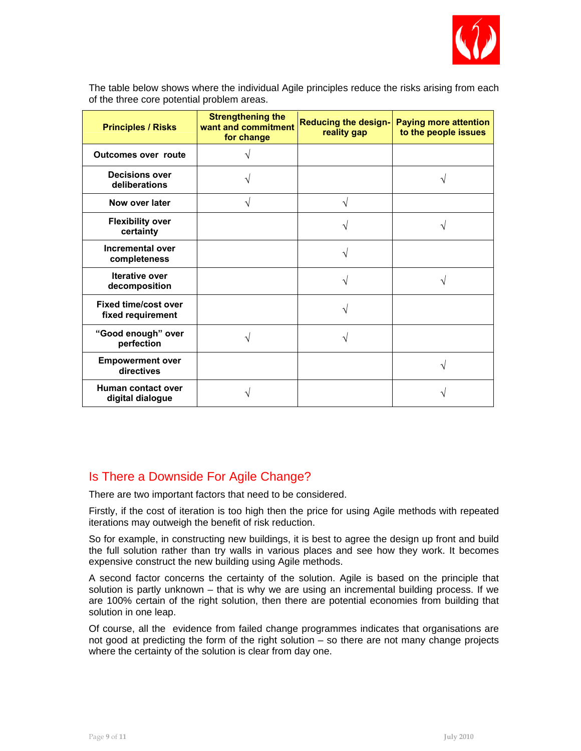

The table below shows where the individual Agile principles reduce the risks arising from each of the three core potential problem areas.

| <b>Principles / Risks</b>                        | <b>Strengthening the</b><br>want and commitment<br>for change | <b>Reducing the design-</b><br>reality gap | <b>Paying more attention</b><br>to the people issues |
|--------------------------------------------------|---------------------------------------------------------------|--------------------------------------------|------------------------------------------------------|
| <b>Outcomes over route</b>                       |                                                               |                                            |                                                      |
| <b>Decisions over</b><br>deliberations           |                                                               |                                            |                                                      |
| Now over later                                   |                                                               |                                            |                                                      |
| <b>Flexibility over</b><br>certainty             |                                                               |                                            |                                                      |
| <b>Incremental over</b><br>completeness          |                                                               |                                            |                                                      |
| <b>Iterative over</b><br>decomposition           |                                                               |                                            |                                                      |
| <b>Fixed time/cost over</b><br>fixed requirement |                                                               |                                            |                                                      |
| "Good enough" over<br>perfection                 |                                                               |                                            |                                                      |
| <b>Empowerment over</b><br>directives            |                                                               |                                            |                                                      |
| Human contact over<br>digital dialogue           |                                                               |                                            |                                                      |

# Is There a Downside For Agile Change?

There are two important factors that need to be considered.

Firstly, if the cost of iteration is too high then the price for using Agile methods with repeated iterations may outweigh the benefit of risk reduction.

So for example, in constructing new buildings, it is best to agree the design up front and build the full solution rather than try walls in various places and see how they work. It becomes expensive construct the new building using Agile methods.

A second factor concerns the certainty of the solution. Agile is based on the principle that solution is partly unknown – that is why we are using an incremental building process. If we are 100% certain of the right solution, then there are potential economies from building that solution in one leap.

Of course, all the evidence from failed change programmes indicates that organisations are not good at predicting the form of the right solution – so there are not many change projects where the certainty of the solution is clear from day one.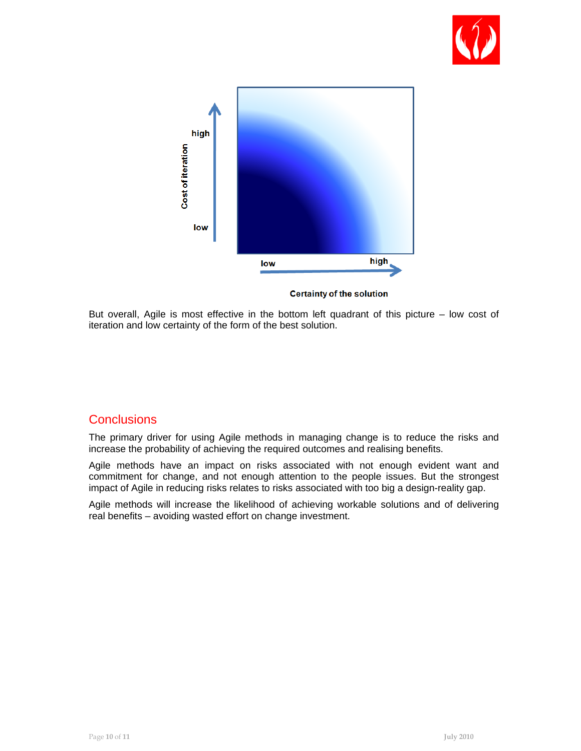



**Certainty of the solution** 

But overall, Agile is most effective in the bottom left quadrant of this picture – low cost of iteration and low certainty of the form of the best solution.

### **Conclusions**

The primary driver for using Agile methods in managing change is to reduce the risks and increase the probability of achieving the required outcomes and realising benefits.

Agile methods have an impact on risks associated with not enough evident want and commitment for change, and not enough attention to the people issues. But the strongest impact of Agile in reducing risks relates to risks associated with too big a design-reality gap.

Agile methods will increase the likelihood of achieving workable solutions and of delivering real benefits – avoiding wasted effort on change investment.